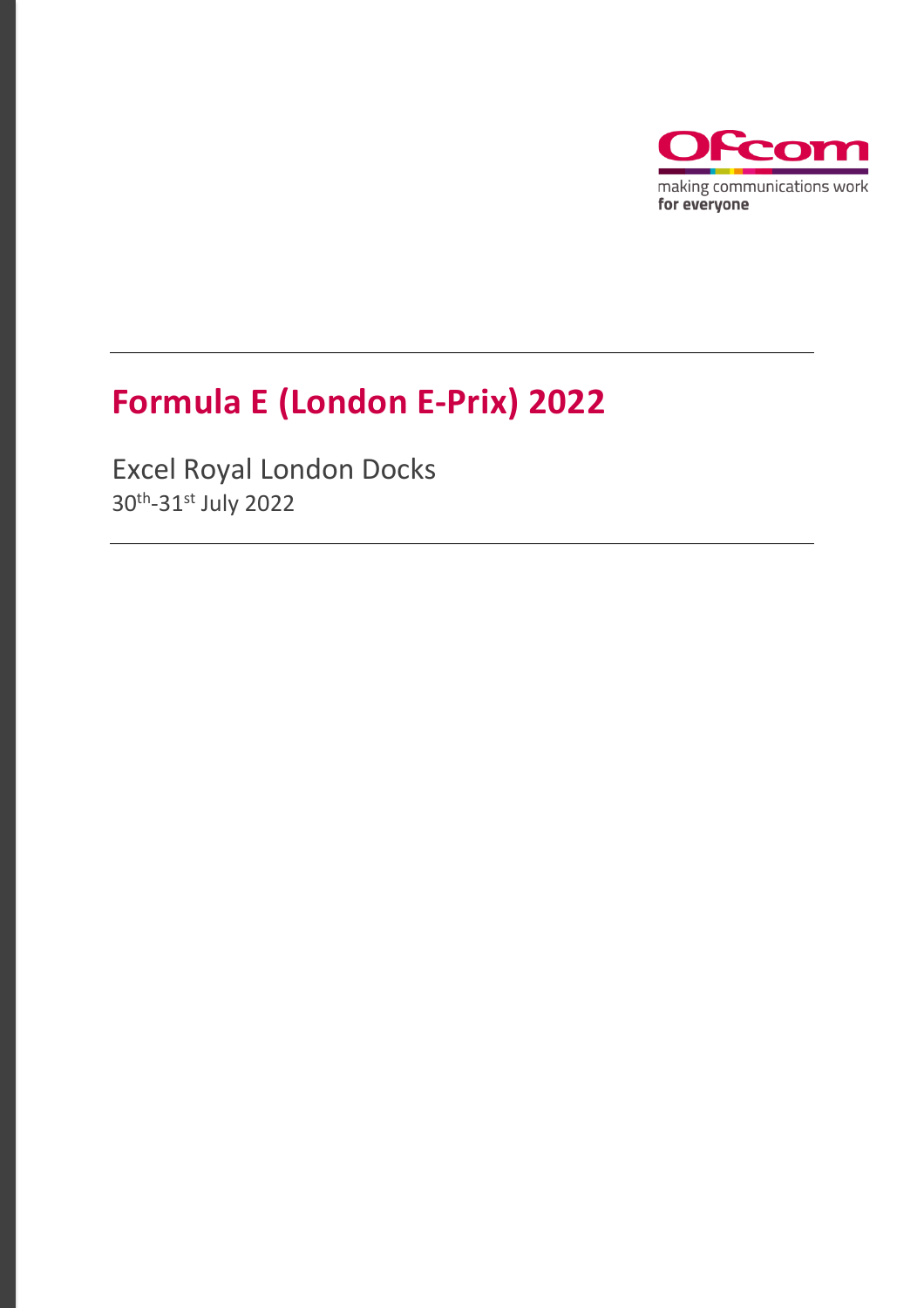

# **Formula E (London E-Prix) 2022**

Excel Royal London Docks 30th -31st July 2022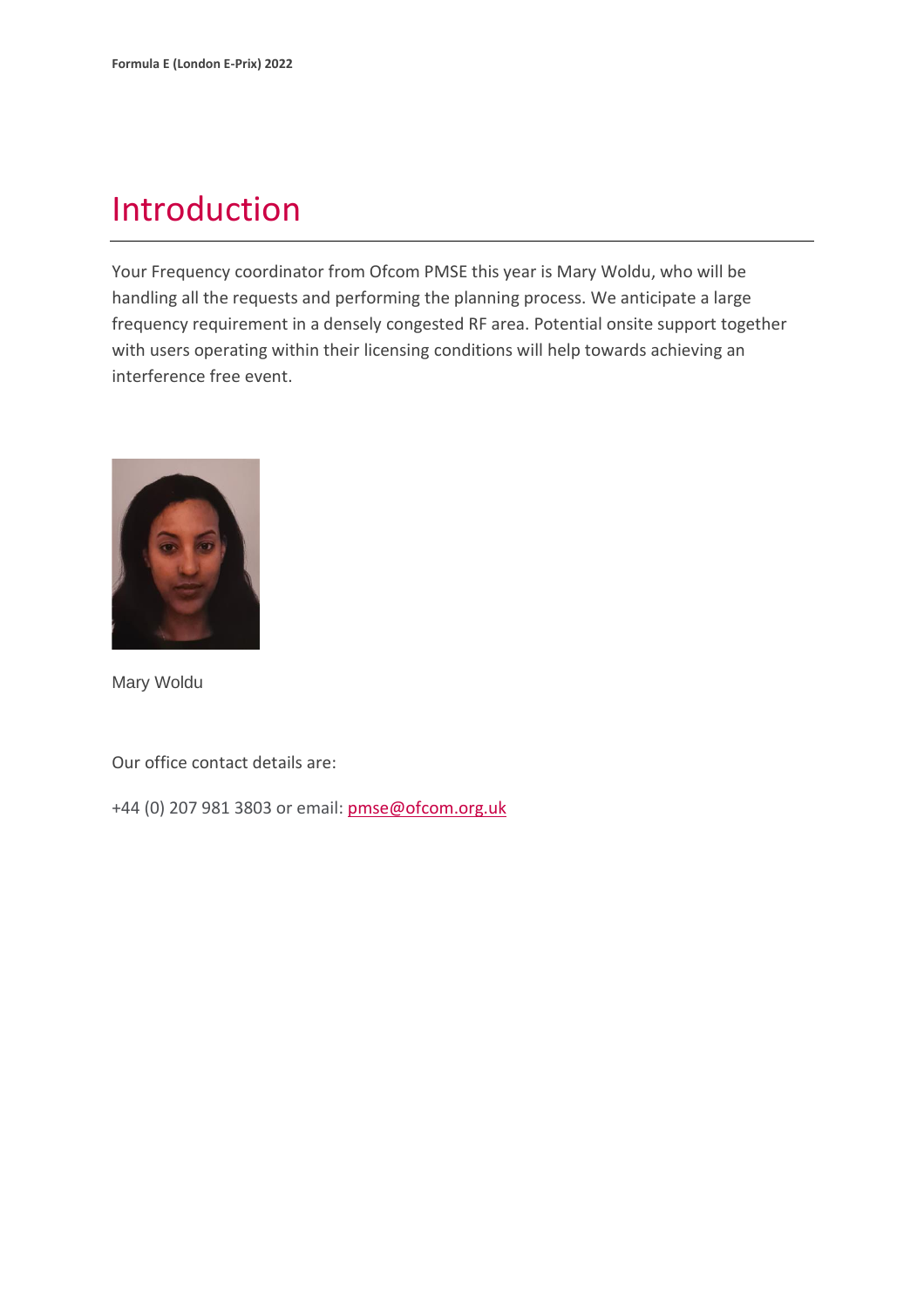### Introduction

Your Frequency coordinator from Ofcom PMSE this year is Mary Woldu, who will be handling all the requests and performing the planning process. We anticipate a large frequency requirement in a densely congested RF area. Potential onsite support together with users operating within their licensing conditions will help towards achieving an interference free event.



Mary Woldu

Our office contact details are:

+44 (0) 207 981 3803 or email: [pmse@ofcom.org.uk](mailto:pmse@ofcom.org.uk)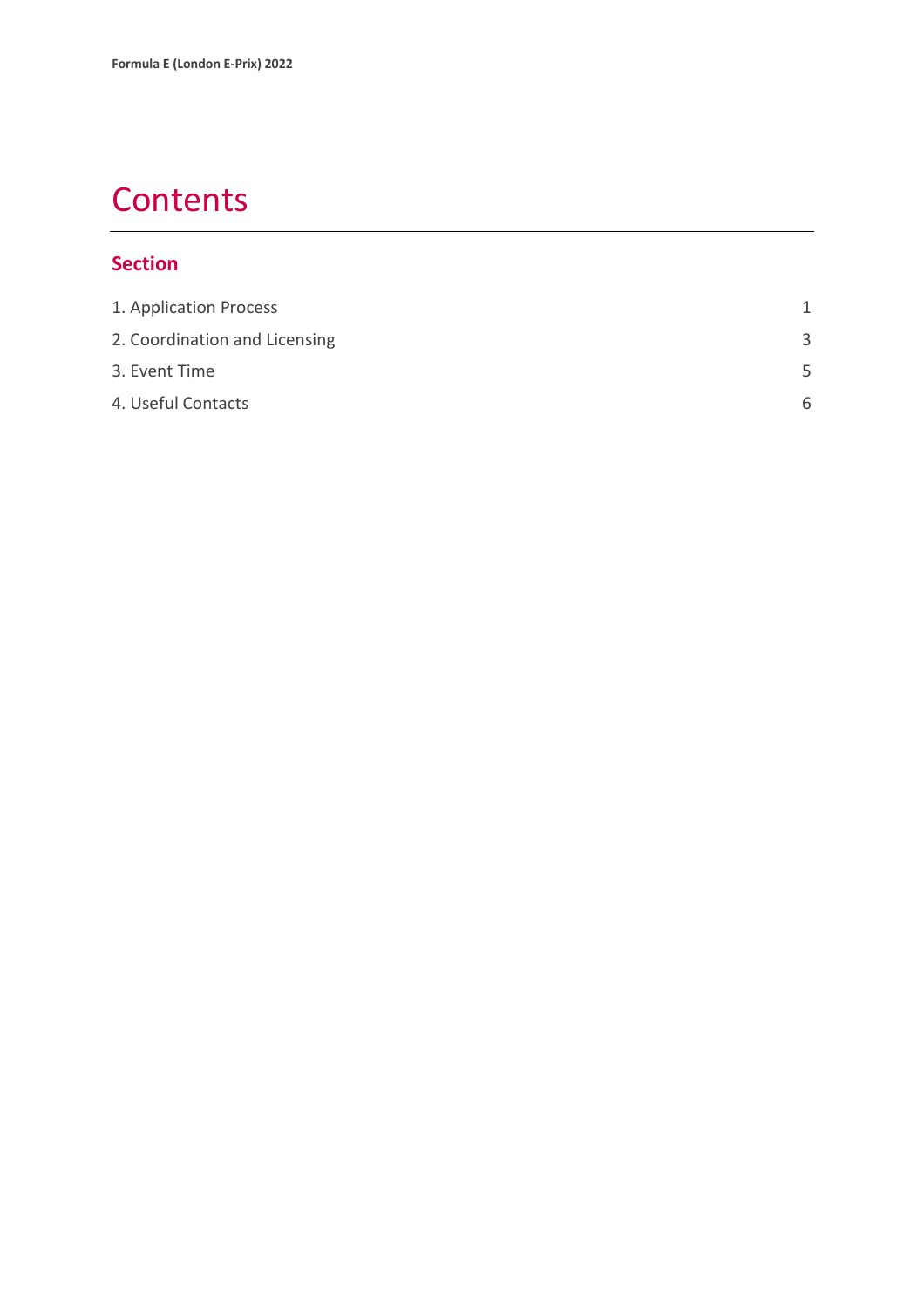### **Contents**

#### **Section**

| 1. Application Process        |    |
|-------------------------------|----|
| 2. Coordination and Licensing | 3  |
| 3. Event Time                 | .5 |
| 4. Useful Contacts            | 6  |
|                               |    |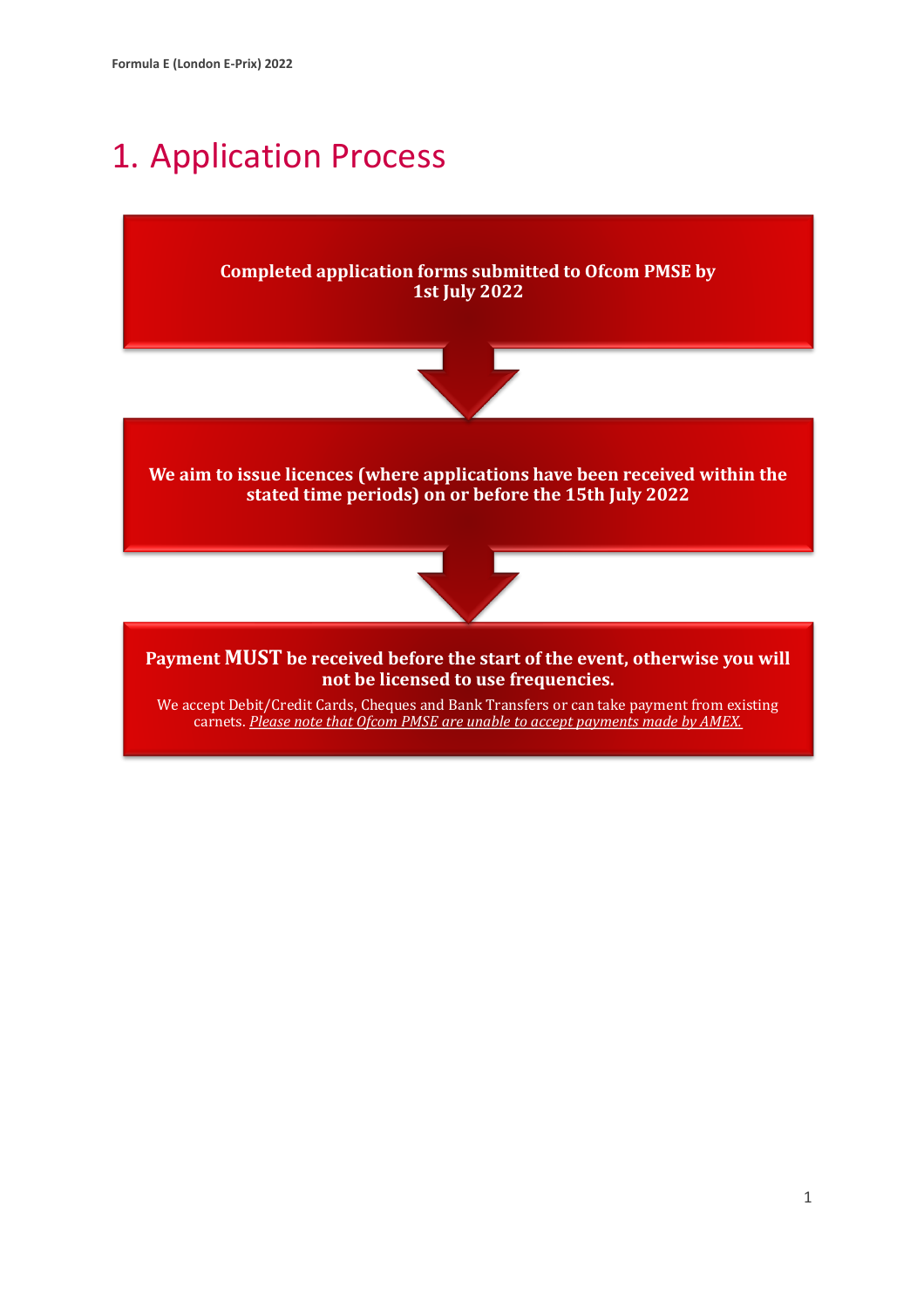### <span id="page-3-0"></span>1. Application Process

**Completed application forms submitted to Ofcom PMSE by 1st July 2022**



**We aim to issue licences (where applications have been received within the stated time periods) on or before the 15th July 2022**



**Payment MUST be received before the start of the event, otherwise you will not be licensed to use frequencies.**

We accept Debit/Credit Cards, Cheques and Bank Transfers or can take payment from existing carnets. *Please note that Ofcom PMSE are unable to accept payments made by AMEX.*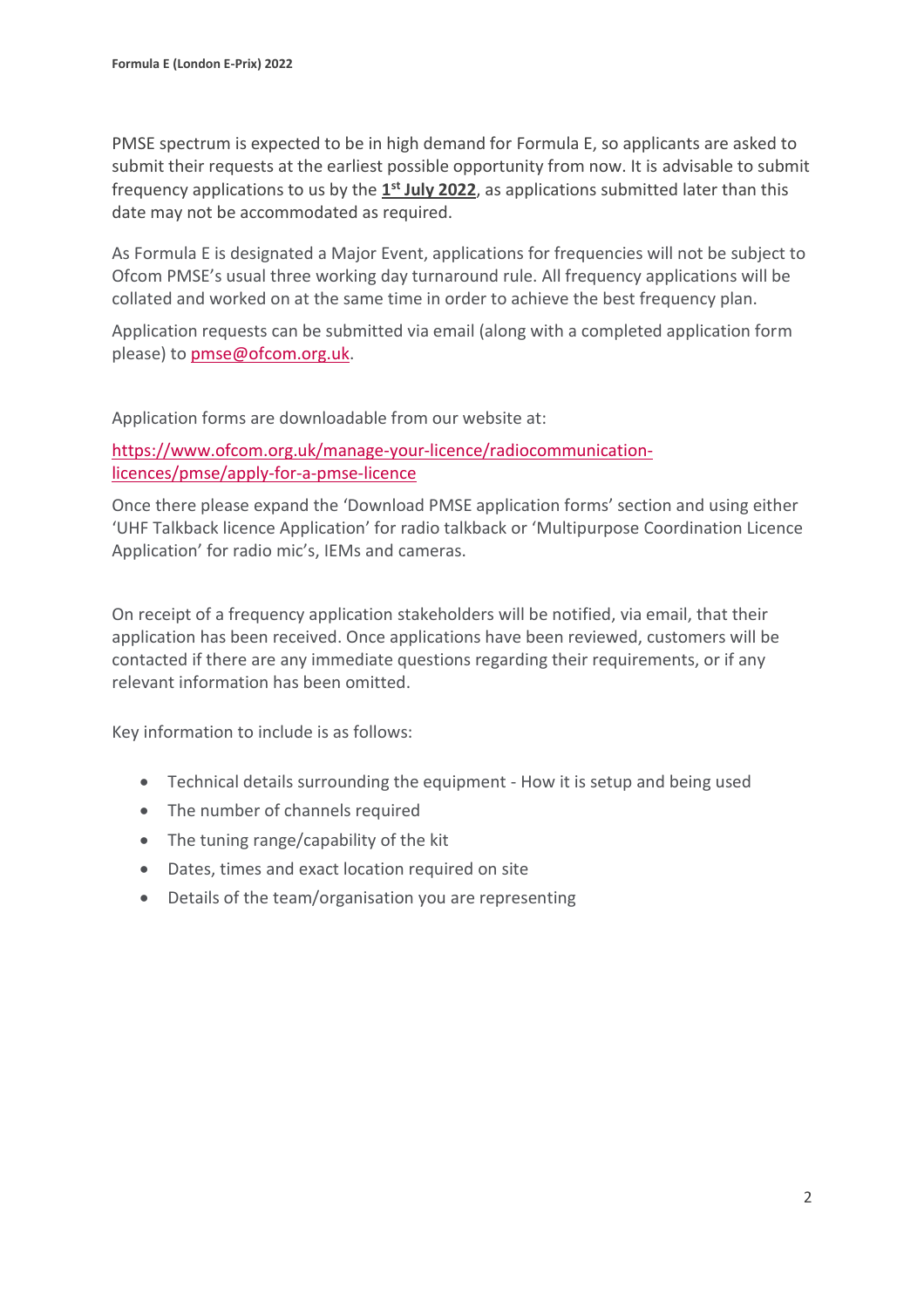PMSE spectrum is expected to be in high demand for Formula E, so applicants are asked to submit their requests at the earliest possible opportunity from now. It is advisable to submit frequency applications to us by the **1 st July 2022**, as applications submitted later than this date may not be accommodated as required.

As Formula E is designated a Major Event, applications for frequencies will not be subject to Ofcom PMSE's usual three working day turnaround rule. All frequency applications will be collated and worked on at the same time in order to achieve the best frequency plan.

Application requests can be submitted via email (along with a completed application form please) to [pmse@ofcom.org.uk.](mailto:pmse@ofcom.org.uk)

Application forms are downloadable from our website at:

[https://www.ofcom.org.uk/manage-your-licence/radiocommunication](https://www.ofcom.org.uk/manage-your-licence/radiocommunication-licences/pmse/apply-for-a-pmse-licence)[licences/pmse/apply-for-a-pmse-licence](https://www.ofcom.org.uk/manage-your-licence/radiocommunication-licences/pmse/apply-for-a-pmse-licence)

Once there please expand the 'Download PMSE application forms' section and using either 'UHF Talkback licence Application' for radio talkback or 'Multipurpose Coordination Licence Application' for radio mic's, IEMs and cameras.

On receipt of a frequency application stakeholders will be notified, via email, that their application has been received. Once applications have been reviewed, customers will be contacted if there are any immediate questions regarding their requirements, or if any relevant information has been omitted.

Key information to include is as follows:

- Technical details surrounding the equipment How it is setup and being used
- The number of channels required
- The tuning range/capability of the kit
- Dates, times and exact location required on site
- Details of the team/organisation you are representing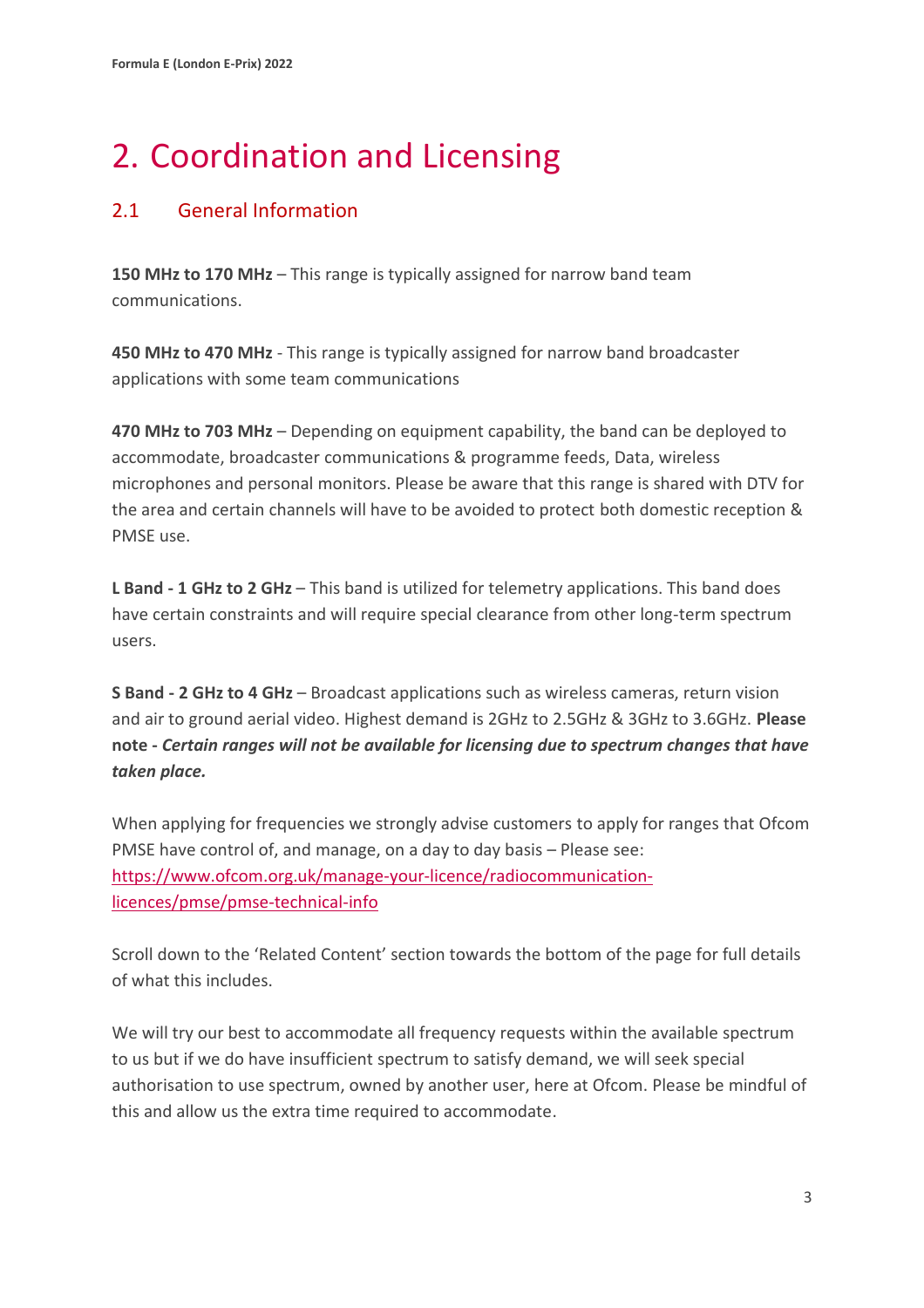# <span id="page-5-0"></span>2. Coordination and Licensing

#### 2.1 General Information

**150 MHz to 170 MHz** – This range is typically assigned for narrow band team communications.

**450 MHz to 470 MHz** - This range is typically assigned for narrow band broadcaster applications with some team communications

**470 MHz to 703 MHz** – Depending on equipment capability, the band can be deployed to accommodate, broadcaster communications & programme feeds, Data, wireless microphones and personal monitors. Please be aware that this range is shared with DTV for the area and certain channels will have to be avoided to protect both domestic reception & PMSE use.

**L Band - 1 GHz to 2 GHz** – This band is utilized for telemetry applications. This band does have certain constraints and will require special clearance from other long-term spectrum users.

**S Band - 2 GHz to 4 GHz** – Broadcast applications such as wireless cameras, return vision and air to ground aerial video. Highest demand is 2GHz to 2.5GHz & 3GHz to 3.6GHz. **Please note -** *Certain ranges will not be available for licensing due to spectrum changes that have taken place.*

When applying for frequencies we strongly advise customers to apply for ranges that Ofcom PMSE have control of, and manage, on a day to day basis – Please see: [https://www.ofcom.org.uk/manage-your-licence/radiocommunication](https://www.ofcom.org.uk/manage-your-licence/radiocommunication-licences/pmse/pmse-technical-info)[licences/pmse/pmse-technical-info](https://www.ofcom.org.uk/manage-your-licence/radiocommunication-licences/pmse/pmse-technical-info)

Scroll down to the 'Related Content' section towards the bottom of the page for full details of what this includes.

We will try our best to accommodate all frequency requests within the available spectrum to us but if we do have insufficient spectrum to satisfy demand, we will seek special authorisation to use spectrum, owned by another user, here at Ofcom. Please be mindful of this and allow us the extra time required to accommodate.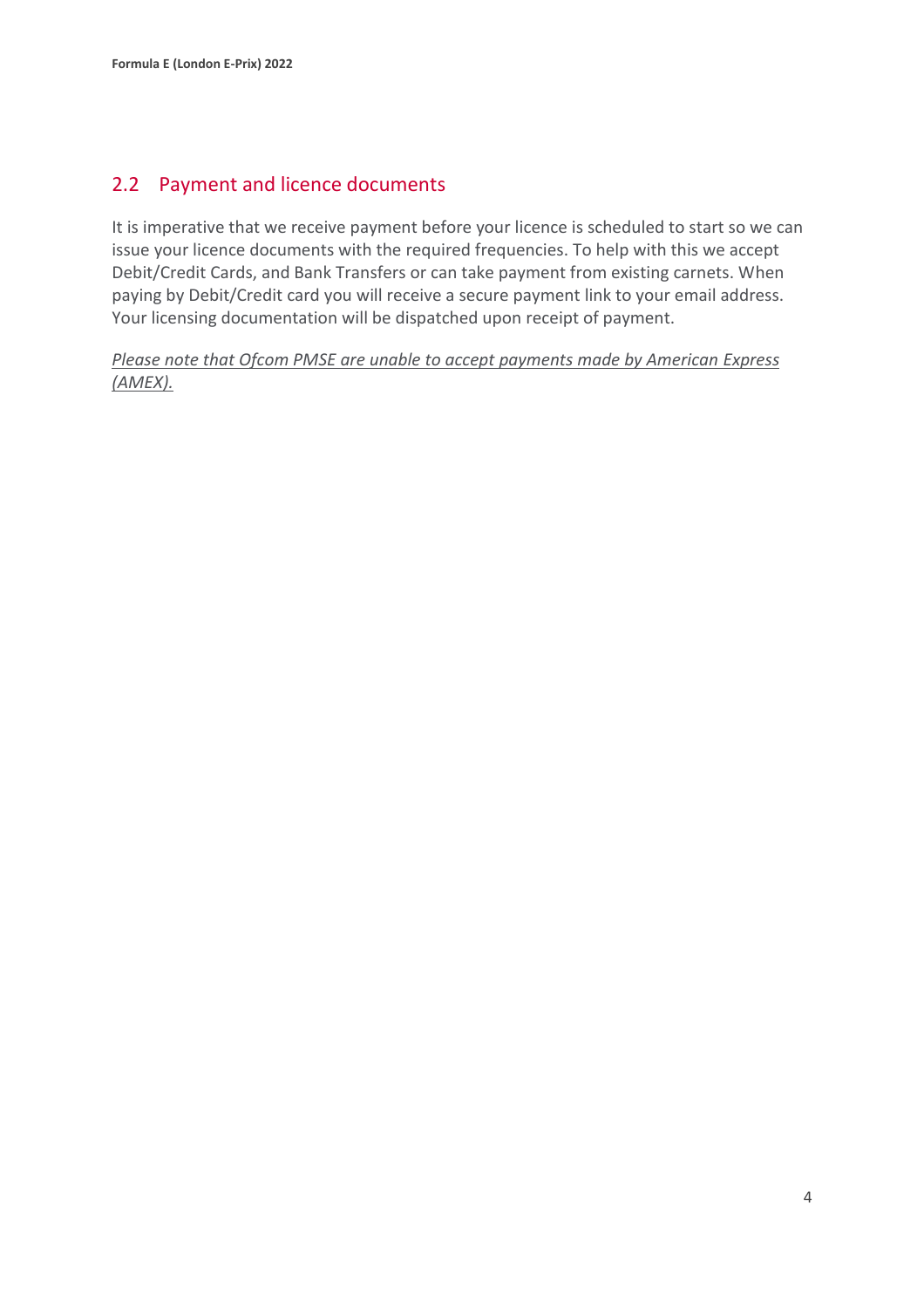#### 2.2 Payment and licence documents

It is imperative that we receive payment before your licence is scheduled to start so we can issue your licence documents with the required frequencies. To help with this we accept Debit/Credit Cards, and Bank Transfers or can take payment from existing carnets. When paying by Debit/Credit card you will receive a secure payment link to your email address. Your licensing documentation will be dispatched upon receipt of payment.

*Please note that Ofcom PMSE are unable to accept payments made by American Express (AMEX).*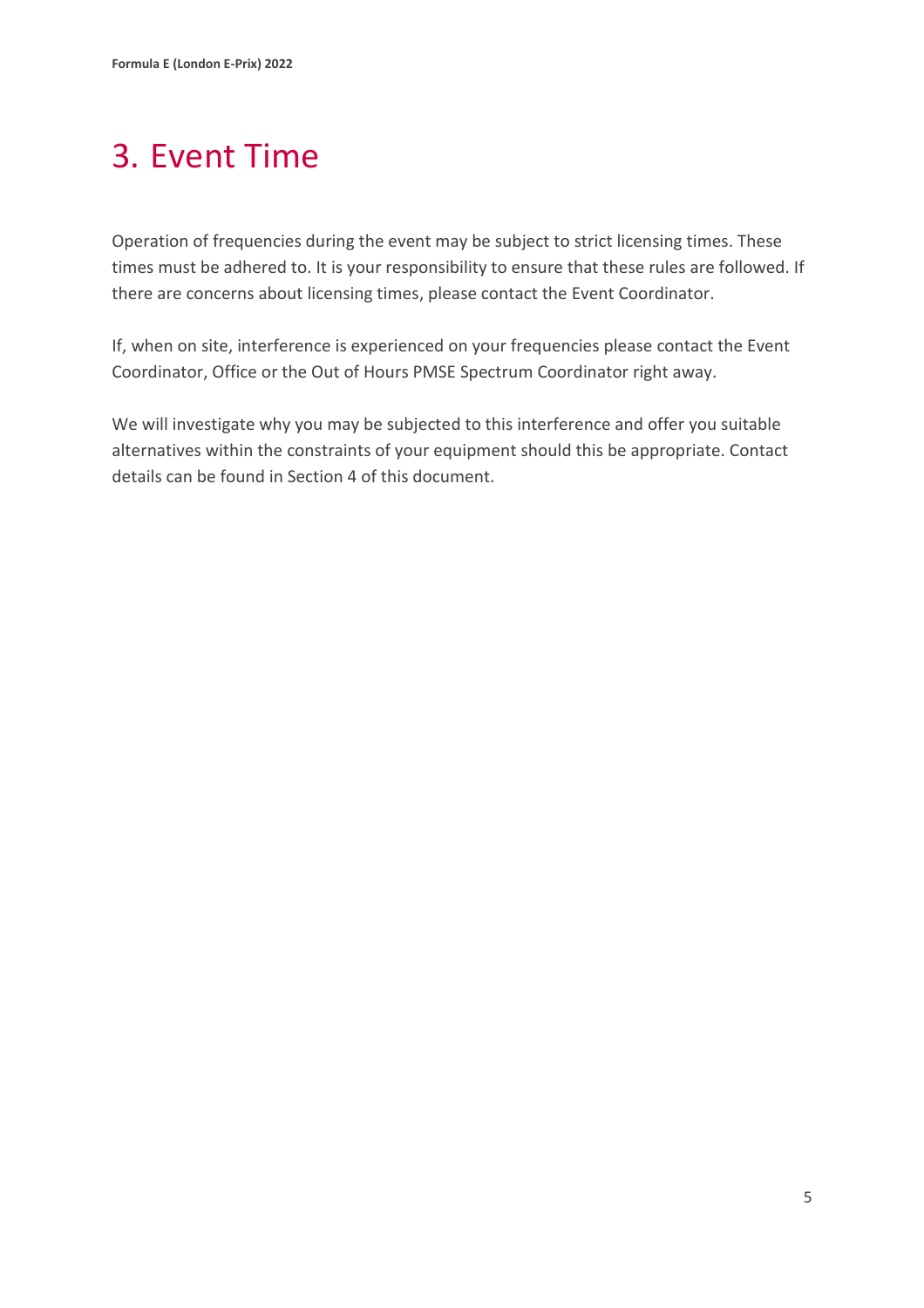# <span id="page-7-0"></span>3. Event Time

Operation of frequencies during the event may be subject to strict licensing times. These times must be adhered to. It is your responsibility to ensure that these rules are followed. If there are concerns about licensing times, please contact the Event Coordinator.

If, when on site, interference is experienced on your frequencies please contact the Event Coordinator, Office or the Out of Hours PMSE Spectrum Coordinator right away.

We will investigate why you may be subjected to this interference and offer you suitable alternatives within the constraints of your equipment should this be appropriate. Contact details can be found in Section 4 of this document.